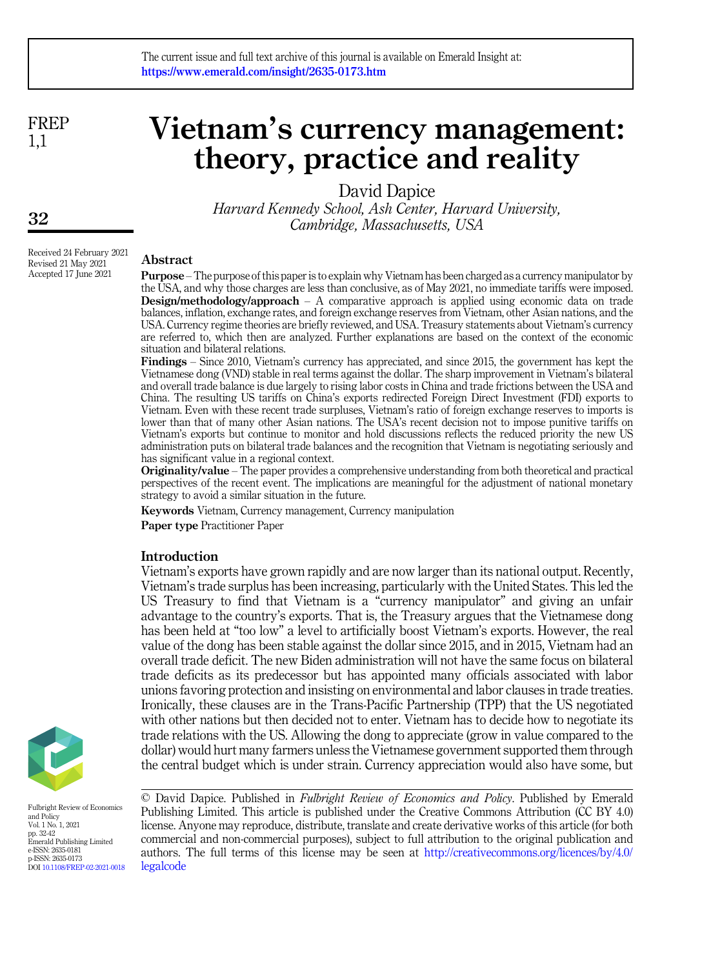FREP 1,1

# Vietnam's currency management: theory, practice and reality

David Dapice

Harvard Kennedy School, Ash Center, Harvard University, Cambridge, Massachusetts, USA

#### Abstract

Purpose – The purpose of this paper is to explain why Vietnam has been charged as a currency manipulator by the USA, and why those charges are less than conclusive, as of May 2021, no immediate tariffs were imposed. Design/methodology/approach – A comparative approach is applied using economic data on trade balances, inflation, exchange rates, and foreign exchange reserves from Vietnam, other Asian nations, and the USA. Currency regime theories are briefly reviewed, and USA. Treasury statements about Vietnam's currency are referred to, which then are analyzed. Further explanations are based on the context of the economic situation and bilateral relations.

Findings – Since 2010, Vietnam's currency has appreciated, and since 2015, the government has kept the Vietnamese dong (VND) stable in real terms against the dollar. The sharp improvement in Vietnam's bilateral and overall trade balance is due largely to rising labor costs in China and trade frictions between the USA and China. The resulting US tariffs on China's exports redirected Foreign Direct Investment (FDI) exports to Vietnam. Even with these recent trade surpluses, Vietnam's ratio of foreign exchange reserves to imports is lower than that of many other Asian nations. The USA's recent decision not to impose punitive tariffs on Vietnam's exports but continue to monitor and hold discussions reflects the reduced priority the new US administration puts on bilateral trade balances and the recognition that Vietnam is negotiating seriously and has significant value in a regional context.

Originality/value – The paper provides a comprehensive understanding from both theoretical and practical perspectives of the recent event. The implications are meaningful for the adjustment of national monetary strategy to avoid a similar situation in the future.

Keywords Vietnam, Currency management, Currency manipulation

Paper type Practitioner Paper

#### Introduction

Vietnam's exports have grown rapidly and are now larger than its national output. Recently, Vietnam's trade surplus has been increasing, particularly with the United States. This led the US Treasury to find that Vietnam is a "currency manipulator" and giving an unfair advantage to the country's exports. That is, the Treasury argues that the Vietnamese dong has been held at "too low" a level to artificially boost Vietnam's exports. However, the real value of the dong has been stable against the dollar since 2015, and in 2015, Vietnam had an overall trade deficit. The new Biden administration will not have the same focus on bilateral trade deficits as its predecessor but has appointed many officials associated with labor unions favoring protection and insisting on environmental and labor clauses in trade treaties. Ironically, these clauses are in the Trans-Pacific Partnership (TPP) that the US negotiated with other nations but then decided not to enter. Vietnam has to decide how to negotiate its trade relations with the US. Allowing the dong to appreciate (grow in value compared to the dollar) would hurt many farmers unless the Vietnamese government supported them through the central budget which is under strain. Currency appreciation would also have some, but



Fulbright Review of Economics and Policy Vol. 1 No. 1, 2021 pp. 32-42 Emerald Publishing Limited e-ISSN: 2635-0181 p-ISSN: 2635-0173 DOI [10.1108/FREP-02-2021-0018](https://doi.org/10.1108/FREP-02-2021-0018) © David Dapice. Published in Fulbright Review of Economics and Policy. Published by Emerald Publishing Limited. This article is published under the Creative Commons Attribution (CC BY 4.0) license. Anyone may reproduce, distribute, translate and create derivative works of this article (for both commercial and non-commercial purposes), subject to full attribution to the original publication and authors. The full terms of this license may be seen at [http://creativecommons.org/licences/by/4.0/](http://creativecommons.org/licences/by/4.0/legalcode) [legalcode](http://creativecommons.org/licences/by/4.0/legalcode)

Received 24 February 2021 Revised 21 May 2021 Accepted 17 June 2021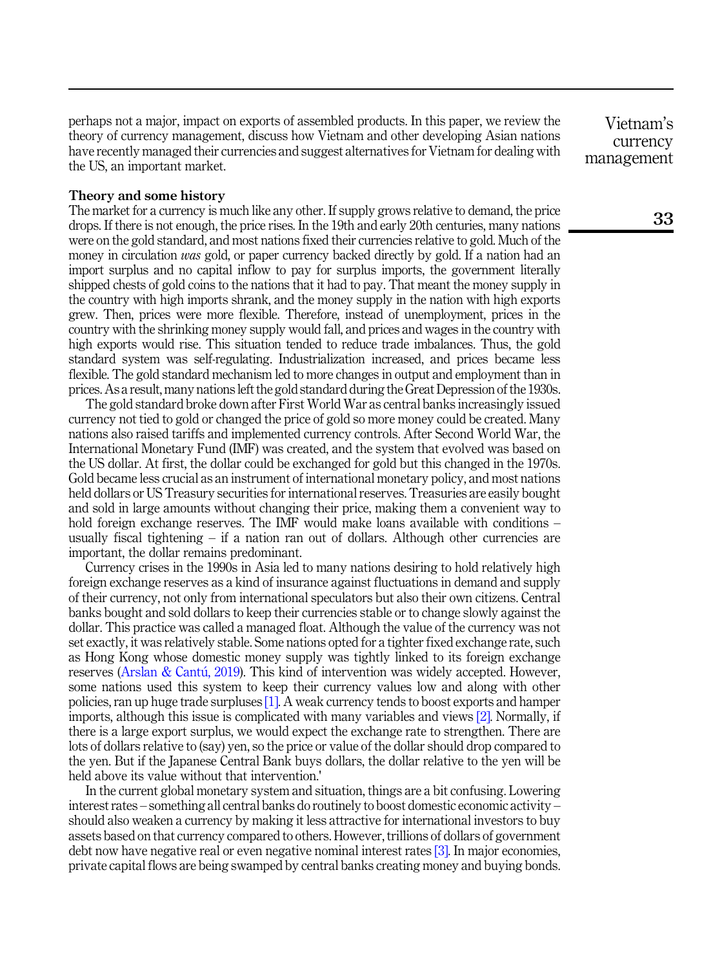perhaps not a major, impact on exports of assembled products. In this paper, we review the theory of currency management, discuss how Vietnam and other developing Asian nations have recently managed their currencies and suggest alternatives for Vietnam for dealing with the US, an important market.

#### Theory and some history

The market for a currency is much like any other. If supply grows relative to demand, the price drops. If there is not enough, the price rises. In the 19th and early 20th centuries, many nations were on the gold standard, and most nations fixed their currencies relative to gold. Much of the money in circulation was gold, or paper currency backed directly by gold. If a nation had an import surplus and no capital inflow to pay for surplus imports, the government literally shipped chests of gold coins to the nations that it had to pay. That meant the money supply in the country with high imports shrank, and the money supply in the nation with high exports grew. Then, prices were more flexible. Therefore, instead of unemployment, prices in the country with the shrinking money supply would fall, and prices and wages in the country with high exports would rise. This situation tended to reduce trade imbalances. Thus, the gold standard system was self-regulating. Industrialization increased, and prices became less flexible. The gold standard mechanism led to more changes in output and employment than in prices. As a result, many nations left the gold standard during the Great Depression of the 1930s.

The gold standard broke down after First World War as central banks increasingly issued currency not tied to gold or changed the price of gold so more money could be created. Many nations also raised tariffs and implemented currency controls. After Second World War, the International Monetary Fund (IMF) was created, and the system that evolved was based on the US dollar. At first, the dollar could be exchanged for gold but this changed in the 1970s. Gold became less crucial as an instrument of international monetary policy, and most nations held dollars or US Treasury securities for international reserves. Treasuries are easily bought and sold in large amounts without changing their price, making them a convenient way to hold foreign exchange reserves. The IMF would make loans available with conditions – usually fiscal tightening – if a nation ran out of dollars. Although other currencies are important, the dollar remains predominant.

Currency crises in the 1990s in Asia led to many nations desiring to hold relatively high foreign exchange reserves as a kind of insurance against fluctuations in demand and supply of their currency, not only from international speculators but also their own citizens. Central banks bought and sold dollars to keep their currencies stable or to change slowly against the dollar. This practice was called a managed float. Although the value of the currency was not set exactly, it was relatively stable. Some nations opted for a tighter fixed exchange rate, such as Hong Kong whose domestic money supply was tightly linked to its foreign exchange reserves (Arslan & Cantú, 2019). This kind of intervention was widely accepted. However, some nations used this system to keep their currency values low and along with other policies, ran up huge trade surpluses [\[1\]](#page-8-1). A weak currency tends to boost exports and hamper imports, although this issue is complicated with many variables and views [\[2\]](#page-8-2). Normally, if there is a large export surplus, we would expect the exchange rate to strengthen. There are lots of dollars relative to (say) yen, so the price or value of the dollar should drop compared to the yen. But if the Japanese Central Bank buys dollars, the dollar relative to the yen will be held above its value without that intervention.'

In the current global monetary system and situation, things are a bit confusing. Lowering interest rates – something all central banks do routinely to boost domestic economic activity – should also weaken a currency by making it less attractive for international investors to buy assets based on that currency compared to others. However, trillions of dollars of government debt now have negative real or even negative nominal interest rates [\[3\].](#page-8-3) In major economies, private capital flows are being swamped by central banks creating money and buying bonds.

Vietnam's currency management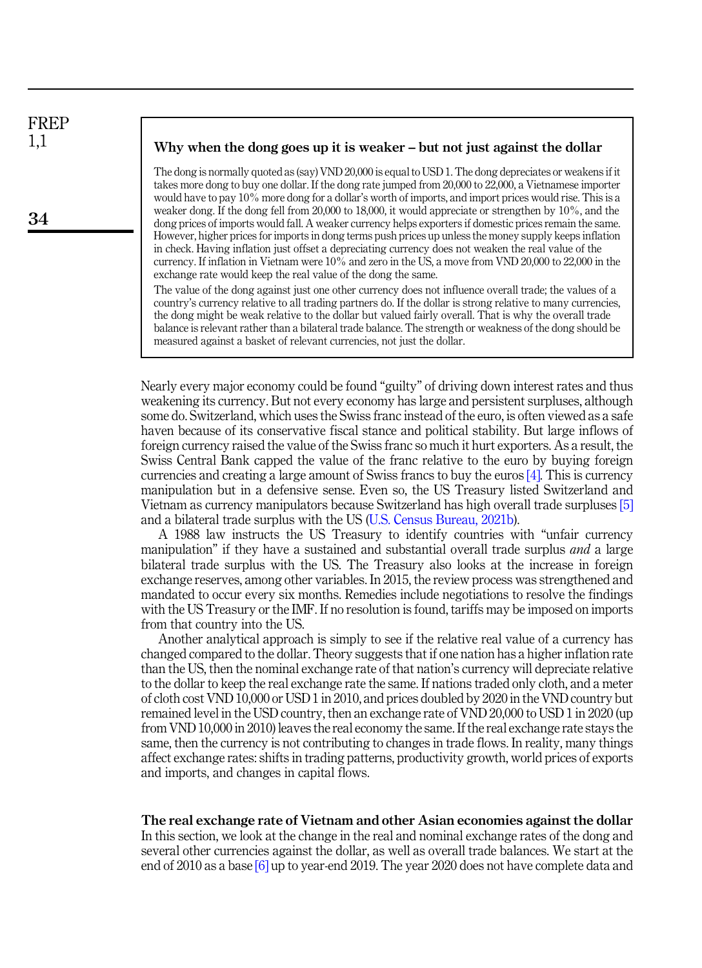## FREP 1,1

34

#### Why when the dong goes up it is weaker – but not just against the dollar

The dong is normally quoted as (say) VND 20,000 is equal to USD 1. The dong depreciates or weakens if it takes more dong to buy one dollar. If the dong rate jumped from 20,000 to 22,000, a Vietnamese importer would have to pay 10% more dong for a dollar's worth of imports, and import prices would rise. This is a weaker dong. If the dong fell from 20,000 to 18,000, it would appreciate or strengthen by 10%, and the dong prices of imports would fall. A weaker currency helps exporters if domestic prices remain the same. However, higher prices for imports in dong terms push prices up unless the money supply keeps inflation in check. Having inflation just offset a depreciating currency does not weaken the real value of the currency. If inflation in Vietnam were 10% and zero in the US, a move from VND 20,000 to 22,000 in the exchange rate would keep the real value of the dong the same.

The value of the dong against just one other currency does not influence overall trade; the values of a country's currency relative to all trading partners do. If the dollar is strong relative to many currencies, the dong might be weak relative to the dollar but valued fairly overall. That is why the overall trade balance is relevant rather than a bilateral trade balance. The strength or weakness of the dong should be measured against a basket of relevant currencies, not just the dollar.

Nearly every major economy could be found "guilty" of driving down interest rates and thus weakening its currency. But not every economy has large and persistent surpluses, although some do. Switzerland, which uses the Swiss franc instead of the euro, is often viewed as a safe haven because of its conservative fiscal stance and political stability. But large inflows of foreign currency raised the value of the Swiss franc so much it hurt exporters. As a result, the Swiss Central Bank capped the value of the franc relative to the euro by buying foreign currencies and creating a large amount of Swiss francs to buy the euros [\[4\].](#page-8-4) This is currency manipulation but in a defensive sense. Even so, the US Treasury listed Switzerland and Vietnam as currency manipulators because Switzerland has high overall trade surpluses [\[5\]](#page-8-5) and a bilateral trade surplus with the US ([U.S. Census Bureau, 2021b](#page-9-0)).

A 1988 law instructs the US Treasury to identify countries with "unfair currency manipulation" if they have a sustained and substantial overall trade surplus *and* a large bilateral trade surplus with the US. The Treasury also looks at the increase in foreign exchange reserves, among other variables. In 2015, the review process was strengthened and mandated to occur every six months. Remedies include negotiations to resolve the findings with the US Treasury or the IMF. If no resolution is found, tariffs may be imposed on imports from that country into the US.

Another analytical approach is simply to see if the relative real value of a currency has changed compared to the dollar. Theory suggests that if one nation has a higher inflation rate than the US, then the nominal exchange rate of that nation's currency will depreciate relative to the dollar to keep the real exchange rate the same. If nations traded only cloth, and a meter of cloth cost VND 10,000 or USD 1 in 2010, and prices doubled by 2020 in the VND country but remained level in the USD country, then an exchange rate of VND 20,000 to USD 1 in 2020 (up from VND 10,000 in 2010) leaves the real economy the same. If the real exchange rate stays the same, then the currency is not contributing to changes in trade flows. In reality, many things affect exchange rates: shifts in trading patterns, productivity growth, world prices of exports and imports, and changes in capital flows.

#### The real exchange rate of Vietnam and other Asian economies against the dollar

In this section, we look at the change in the real and nominal exchange rates of the dong and several other currencies against the dollar, as well as overall trade balances. We start at the end of 2010 as a base [\[6\]](#page-8-6) up to year-end 2019. The year 2020 does not have complete data and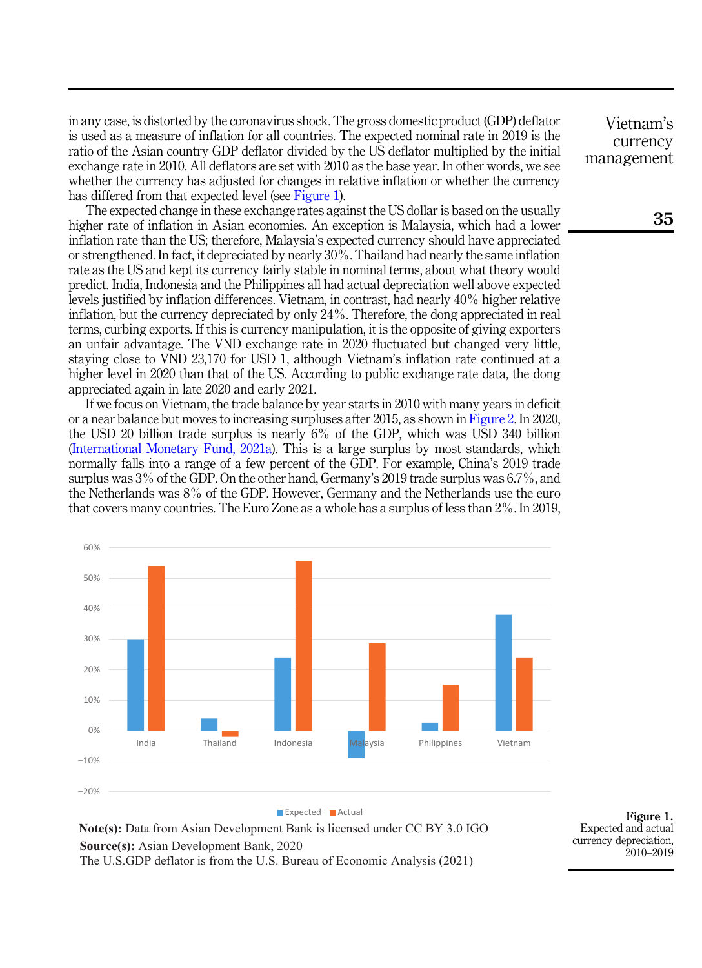in any case, is distorted by the coronavirus shock. The gross domestic product (GDP) deflator is used as a measure of inflation for all countries. The expected nominal rate in 2019 is the ratio of the Asian country GDP deflator divided by the US deflator multiplied by the initial exchange rate in 2010. All deflators are set with 2010 as the base year. In other words, we see whether the currency has adjusted for changes in relative inflation or whether the currency has differed from that expected level (see Figure 1).

The expected change in these exchange rates against the US dollar is based on the usually higher rate of inflation in Asian economies. An exception is Malaysia, which had a lower inflation rate than the US; therefore, Malaysia's expected currency should have appreciated or strengthened. In fact, it depreciated by nearly 30%. Thailand had nearly the same inflation rate as the US and kept its currency fairly stable in nominal terms, about what theory would predict. India, Indonesia and the Philippines all had actual depreciation well above expected levels justified by inflation differences. Vietnam, in contrast, had nearly 40% higher relative inflation, but the currency depreciated by only 24%. Therefore, the dong appreciated in real terms, curbing exports. If this is currency manipulation, it is the opposite of giving exporters an unfair advantage. The VND exchange rate in 2020 fluctuated but changed very little, staying close to VND 23,170 for USD 1, although Vietnam's inflation rate continued at a higher level in 2020 than that of the US. According to public exchange rate data, the dong appreciated again in late 2020 and early 2021.

If we focus on Vietnam, the trade balance by year starts in 2010 with many years in deficit or a near balance but moves to increasing surpluses after 2015, as shown in [Figure 2](#page-4-0). In 2020, the USD 20 billion trade surplus is nearly 6% of the GDP, which was USD 340 billion ([International Monetary Fund, 2021a](#page-9-1)). This is a large surplus by most standards, which normally falls into a range of a few percent of the GDP. For example, China's 2019 trade surplus was 3% of the GDP. On the other hand, Germany's 2019 trade surplus was 6.7%, and the Netherlands was 8% of the GDP. However, Germany and the Netherlands use the euro that covers many countries. The Euro Zone as a whole has a surplus of less than 2%. In 2019,



**Note(s):** Data from Asian Development Bank is licensed under CC BY 3.0 IGO **Source(s):** Asian Development Bank, 2020 The U.S.GDP deflator is from the U.S. Bureau of Economic Analysis (2021)

Figure 1. Expected and actual currency depreciation, 2010–2019

Vietnam's currency management

35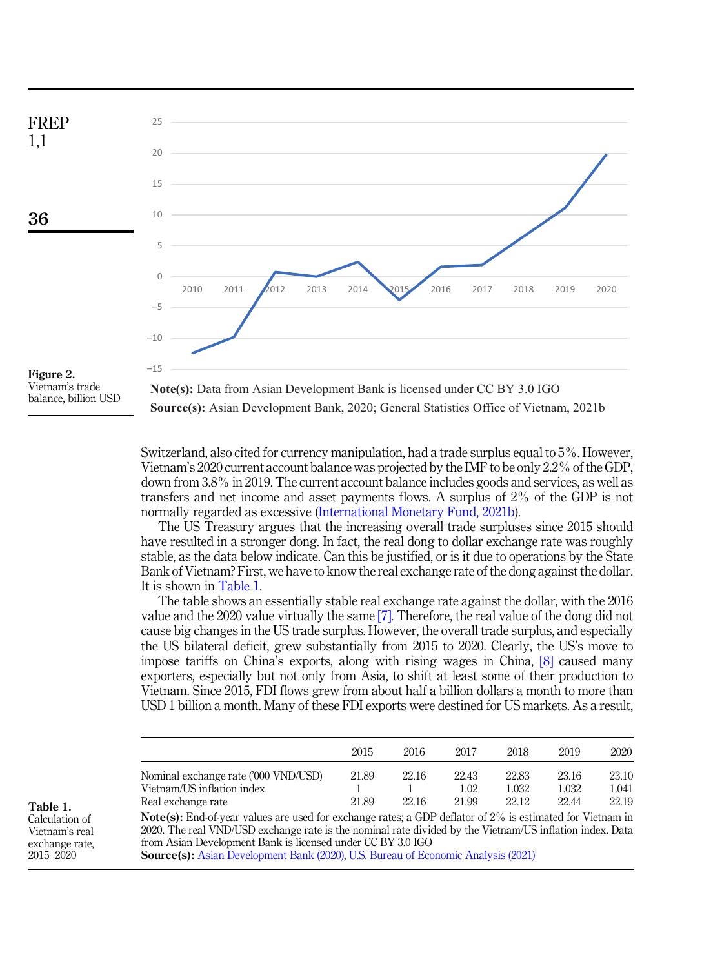<span id="page-4-0"></span>

balance, billion USD

Switzerland, also cited for currency manipulation, had a trade surplus equal to 5%. However, Vietnam's 2020 current account balance was projected by the IMF to be only 2.2% of the GDP,

**Source(s):** Asian Development Bank, 2020; General Statistics Office of Vietnam, 2021b

down from 3.8% in 2019. The current account balance includes goods and services, as well as transfers and net income and asset payments flows. A surplus of 2% of the GDP is not normally regarded as excessive ([International Monetary Fund, 2021b\)](#page-9-2).

The US Treasury argues that the increasing overall trade surpluses since 2015 should have resulted in a stronger dong. In fact, the real dong to dollar exchange rate was roughly stable, as the data below indicate. Can this be justified, or is it due to operations by the State Bank of Vietnam? First, we have to know the real exchange rate of the dong against the dollar. It is shown in Table 1.

The table shows an essentially stable real exchange rate against the dollar, with the 2016 value and the 2020 value virtually the same [\[7\].](#page-8-7) Therefore, the real value of the dong did not cause big changes in the US trade surplus. However, the overall trade surplus, and especially the US bilateral deficit, grew substantially from 2015 to 2020. Clearly, the US's move to impose tariffs on China's exports, along with rising wages in China, [\[8\]](#page-8-8) caused many exporters, especially but not only from Asia, to shift at least some of their production to Vietnam. Since 2015, FDI flows grew from about half a billion dollars a month to more than USD 1 billion a month. Many of these FDI exports were destined for US markets. As a result,

|                                                                                                                                                                                                                                          | 2015  | 2016  | 2017  | 2018  | 2019  | 2020  |
|------------------------------------------------------------------------------------------------------------------------------------------------------------------------------------------------------------------------------------------|-------|-------|-------|-------|-------|-------|
| Nominal exchange rate ('000 VND/USD)                                                                                                                                                                                                     | 21.89 | 22.16 | 22.43 | 22.83 | 23.16 | 23.10 |
| Vietnam/US inflation index                                                                                                                                                                                                               |       |       | 1.02  | 1.032 | 1.032 | 1.041 |
| Real exchange rate                                                                                                                                                                                                                       | 21.89 | 22.16 | 21.99 | 22.12 | 22.44 | 22.19 |
| $\mathbf{M}$ , ( ) $\mathbf{D}$ , $\mathbf{I}$ , ( ) , ( ) , ( ) , ( ) , ( ) , ( ) , ( ) , ( ) , ( ) , ( ) , ( ) , ( ) , ( ) , ( ) , ( ) , ( ) , ( ) , ( ) , ( ) , ( ) , ( ) , ( ) , ( ) , ( ) , ( ) , ( ) , ( ) , ( ) , ( ) , ( ) , ( ) |       |       |       |       |       |       |

Note(s): End-of-year values are used for exchange rates; a GDP deflator of 2% is estimated for Vietnam in 2020. The real VND/USD exchange rate is the nominal rate divided by the Vietnam/US inflation index. Data from Asian Development Bank is licensed under CC BY 3.0 IGO

Source(s): [Asian Development Bank \(2020\),](#page-8-9) [U.S. Bureau of Economic Analysis \(2021\)](#page-9-3)

Table 1. Calculation of Vietnam's real

exchange rate, 2015–2020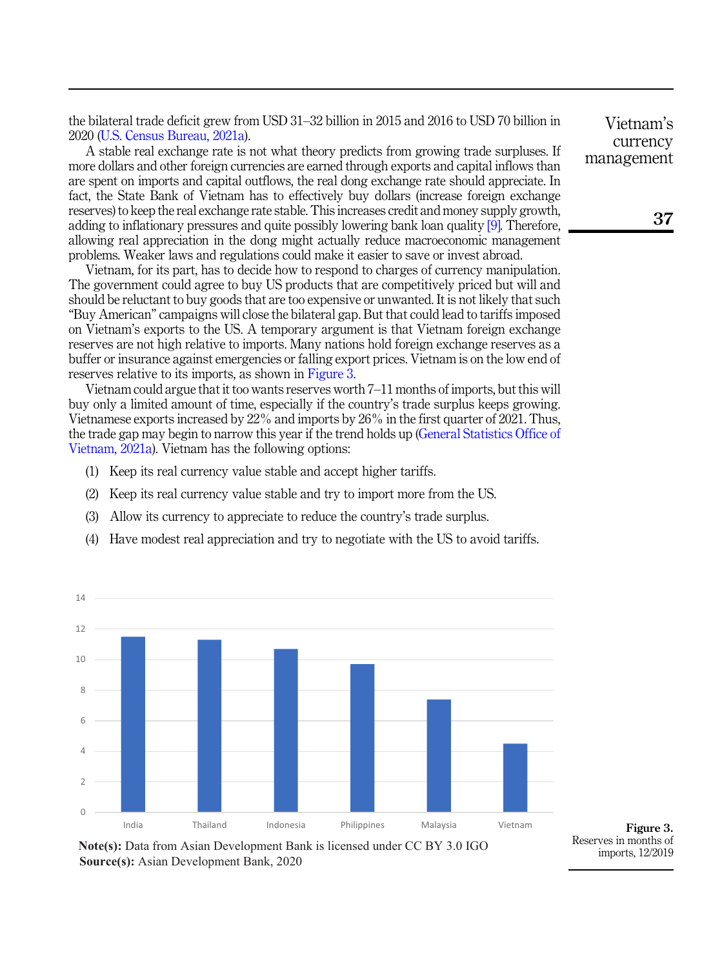the bilateral trade deficit grew from USD 31–32 billion in 2015 and 2016 to USD 70 billion in 2020 ([U.S. Census Bureau, 2021a\)](#page-9-4).

A stable real exchange rate is not what theory predicts from growing trade surpluses. If more dollars and other foreign currencies are earned through exports and capital inflows than are spent on imports and capital outflows, the real dong exchange rate should appreciate. In fact, the State Bank of Vietnam has to effectively buy dollars (increase foreign exchange reserves) to keep the real exchange rate stable. This increases credit and money supply growth, adding to inflationary pressures and quite possibly lowering bank loan quality [\[9\].](#page-8-10) Therefore, allowing real appreciation in the dong might actually reduce macroeconomic management problems. Weaker laws and regulations could make it easier to save or invest abroad.

Vietnam, for its part, has to decide how to respond to charges of currency manipulation. The government could agree to buy US products that are competitively priced but will and should be reluctant to buy goods that are too expensive or unwanted. It is not likely that such "Buy American" campaigns will close the bilateral gap. But that could lead to tariffs imposed on Vietnam's exports to the US. A temporary argument is that Vietnam foreign exchange reserves are not high relative to imports. Many nations hold foreign exchange reserves as a buffer or insurance against emergencies or falling export prices. Vietnam is on the low end of reserves relative to its imports, as shown in Figure 3.

Vietnam could argue that it too wants reserves worth 7–11 months of imports, but this will buy only a limited amount of time, especially if the country's trade surplus keeps growing. Vietnamese exports increased by 22% and imports by 26% in the first quarter of 2021. Thus, the trade gap may begin to narrow this year if the trend holds up [\(General Statistics Office of](#page-8-11) [Vietnam, 2021a\)](#page-8-11). Vietnam has the following options:

- (1) Keep its real currency value stable and accept higher tariffs.
- (2) Keep its real currency value stable and try to import more from the US.
- (3) Allow its currency to appreciate to reduce the country's trade surplus.
- (4) Have modest real appreciation and try to negotiate with the US to avoid tariffs.



**Source(s):** Asian Development Bank, 2020 **Note(s):** Data from Asian Development Bank is licensed under CC BY 3.0 IGO

Vietnam's currency management

Reserves in months of imports, 12/2019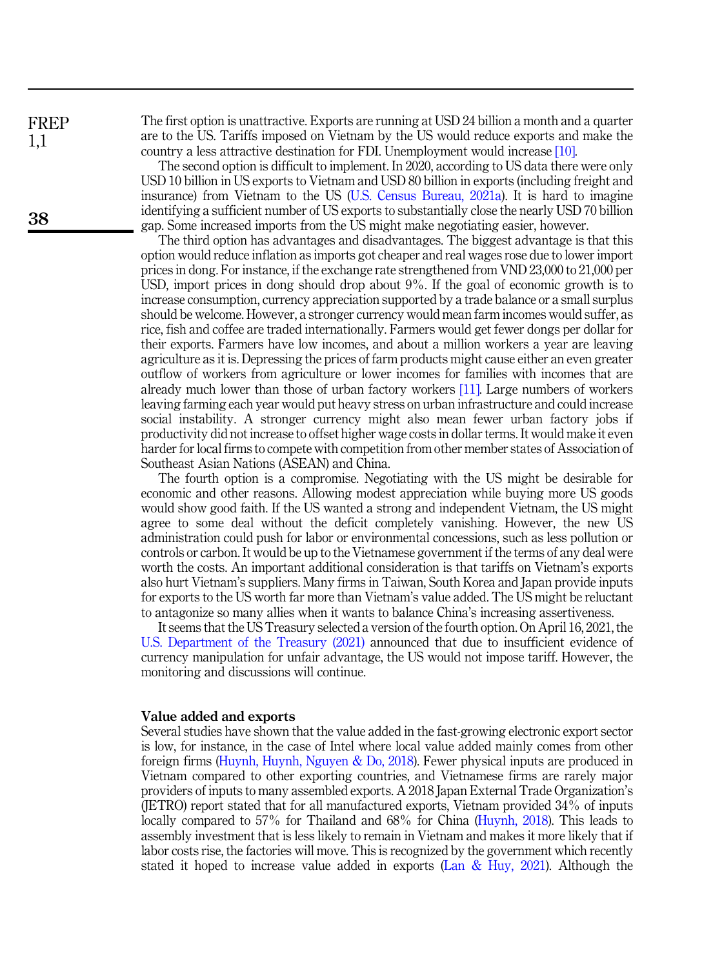The first option is unattractive. Exports are running at USD 24 billion a month and a quarter are to the US. Tariffs imposed on Vietnam by the US would reduce exports and make the country a less attractive destination for FDI. Unemployment would increase [\[10\]](#page-8-12).

The second option is difficult to implement. In 2020, according to US data there were only USD 10 billion in US exports to Vietnam and USD 80 billion in exports (including freight and insurance) from Vietnam to the US [\(U.S. Census Bureau, 2021a\)](#page-9-4). It is hard to imagine identifying a sufficient number of US exports to substantially close the nearly USD 70 billion gap. Some increased imports from the US might make negotiating easier, however.

The third option has advantages and disadvantages. The biggest advantage is that this option would reduce inflation as imports got cheaper and real wages rose due to lower import prices in dong. For instance, if the exchange rate strengthened from VND 23,000 to 21,000 per USD, import prices in dong should drop about 9%. If the goal of economic growth is to increase consumption, currency appreciation supported by a trade balance or a small surplus should be welcome. However, a stronger currency would mean farm incomes would suffer, as rice, fish and coffee are traded internationally. Farmers would get fewer dongs per dollar for their exports. Farmers have low incomes, and about a million workers a year are leaving agriculture as it is. Depressing the prices of farm products might cause either an even greater outflow of workers from agriculture or lower incomes for families with incomes that are already much lower than those of urban factory workers [\[11\].](#page-8-13) Large numbers of workers leaving farming each year would put heavy stress on urban infrastructure and could increase social instability. A stronger currency might also mean fewer urban factory jobs if productivity did not increase to offset higher wage costs in dollar terms. It would make it even harder for local firms to compete with competition from other member states of Association of Southeast Asian Nations (ASEAN) and China.

The fourth option is a compromise. Negotiating with the US might be desirable for economic and other reasons. Allowing modest appreciation while buying more US goods would show good faith. If the US wanted a strong and independent Vietnam, the US might agree to some deal without the deficit completely vanishing. However, the new US administration could push for labor or environmental concessions, such as less pollution or controls or carbon. It would be up to the Vietnamese government if the terms of any deal were worth the costs. An important additional consideration is that tariffs on Vietnam's exports also hurt Vietnam's suppliers. Many firms in Taiwan, South Korea and Japan provide inputs for exports to the US worth far more than Vietnam's value added. The US might be reluctant to antagonize so many allies when it wants to balance China's increasing assertiveness.

It seems that the US Treasury selected a version of the fourth option. On April 16, 2021, the [U.S. Department of the Treasury \(2021\)](#page-9-5) announced that due to insufficient evidence of currency manipulation for unfair advantage, the US would not impose tariff. However, the monitoring and discussions will continue.

#### Value added and exports

Several studies have shown that the value added in the fast-growing electronic export sector is low, for instance, in the case of Intel where local value added mainly comes from other foreign firms ([Huynh, Huynh, Nguyen & Do, 2018\)](#page-9-6). Fewer physical inputs are produced in Vietnam compared to other exporting countries, and Vietnamese firms are rarely major providers of inputs to many assembled exports. A 2018 Japan External Trade Organization's (JETRO) report stated that for all manufactured exports, Vietnam provided 34% of inputs locally compared to 57% for Thailand and 68% for China [\(Huynh, 2018](#page-9-7)). This leads to assembly investment that is less likely to remain in Vietnam and makes it more likely that if labor costs rise, the factories will move. This is recognized by the government which recently stated it hoped to increase value added in exports [\(Lan & Huy, 2021\)](#page-9-8). Although the

FREP 1,1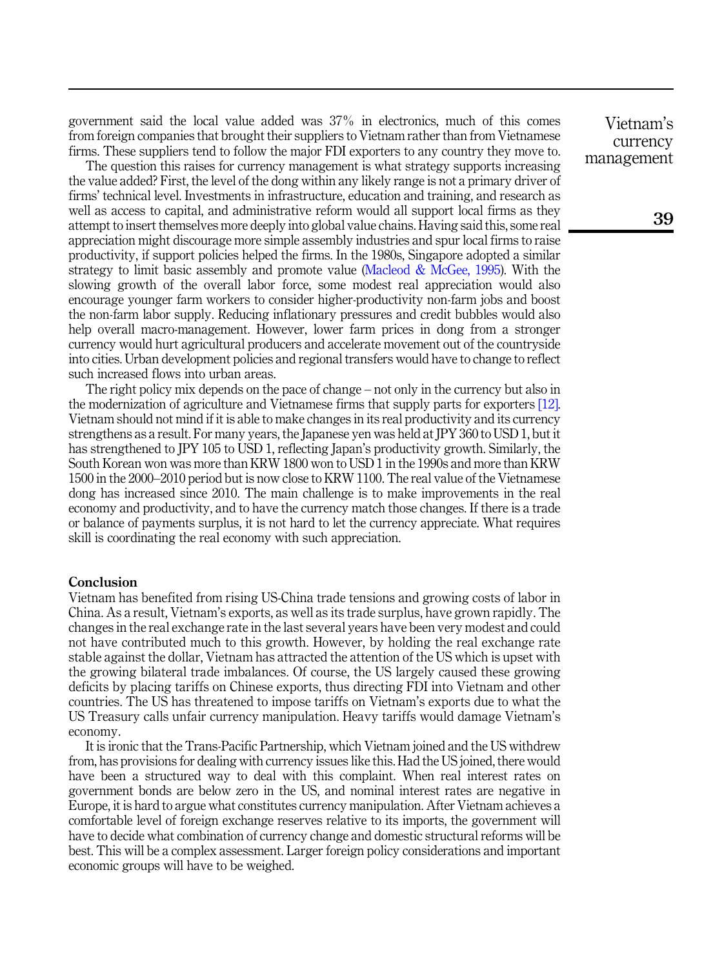government said the local value added was 37% in electronics, much of this comes from foreign companies that brought their suppliers to Vietnam rather than from Vietnamese firms. These suppliers tend to follow the major FDI exporters to any country they move to.

The question this raises for currency management is what strategy supports increasing the value added? First, the level of the dong within any likely range is not a primary driver of firms' technical level. Investments in infrastructure, education and training, and research as well as access to capital, and administrative reform would all support local firms as they attempt to insert themselves more deeply into global value chains. Having said this, some real appreciation might discourage more simple assembly industries and spur local firms to raise productivity, if support policies helped the firms. In the 1980s, Singapore adopted a similar strategy to limit basic assembly and promote value ([Macleod & McGee, 1995\)](#page-9-9). With the slowing growth of the overall labor force, some modest real appreciation would also encourage younger farm workers to consider higher-productivity non-farm jobs and boost the non-farm labor supply. Reducing inflationary pressures and credit bubbles would also help overall macro-management. However, lower farm prices in dong from a stronger currency would hurt agricultural producers and accelerate movement out of the countryside into cities. Urban development policies and regional transfers would have to change to reflect such increased flows into urban areas.

The right policy mix depends on the pace of change – not only in the currency but also in the modernization of agriculture and Vietnamese firms that supply parts for exporters [\[12\]](#page-8-14). Vietnam should not mind if it is able to make changes in its real productivity and its currency strengthens as a result. For many years, the Japanese yen was held at JPY 360 to USD 1, but it has strengthened to JPY 105 to USD 1, reflecting Japan's productivity growth. Similarly, the South Korean won was more than KRW 1800 won to USD 1 in the 1990s and more than KRW 1500 in the 2000–2010 period but is now close to KRW 1100. The real value of the Vietnamese dong has increased since 2010. The main challenge is to make improvements in the real economy and productivity, and to have the currency match those changes. If there is a trade or balance of payments surplus, it is not hard to let the currency appreciate. What requires skill is coordinating the real economy with such appreciation.

#### Conclusion

Vietnam has benefited from rising US-China trade tensions and growing costs of labor in China. As a result, Vietnam's exports, as well as its trade surplus, have grown rapidly. The changes in the real exchange rate in the last several years have been very modest and could not have contributed much to this growth. However, by holding the real exchange rate stable against the dollar, Vietnam has attracted the attention of the US which is upset with the growing bilateral trade imbalances. Of course, the US largely caused these growing deficits by placing tariffs on Chinese exports, thus directing FDI into Vietnam and other countries. The US has threatened to impose tariffs on Vietnam's exports due to what the US Treasury calls unfair currency manipulation. Heavy tariffs would damage Vietnam's economy.

It is ironic that the Trans-Pacific Partnership, which Vietnam joined and the US withdrew from, has provisions for dealing with currency issues like this. Had the US joined, there would have been a structured way to deal with this complaint. When real interest rates on government bonds are below zero in the US, and nominal interest rates are negative in Europe, it is hard to argue what constitutes currency manipulation. After Vietnam achieves a comfortable level of foreign exchange reserves relative to its imports, the government will have to decide what combination of currency change and domestic structural reforms will be best. This will be a complex assessment. Larger foreign policy considerations and important economic groups will have to be weighed.

Vietnam's currency management

39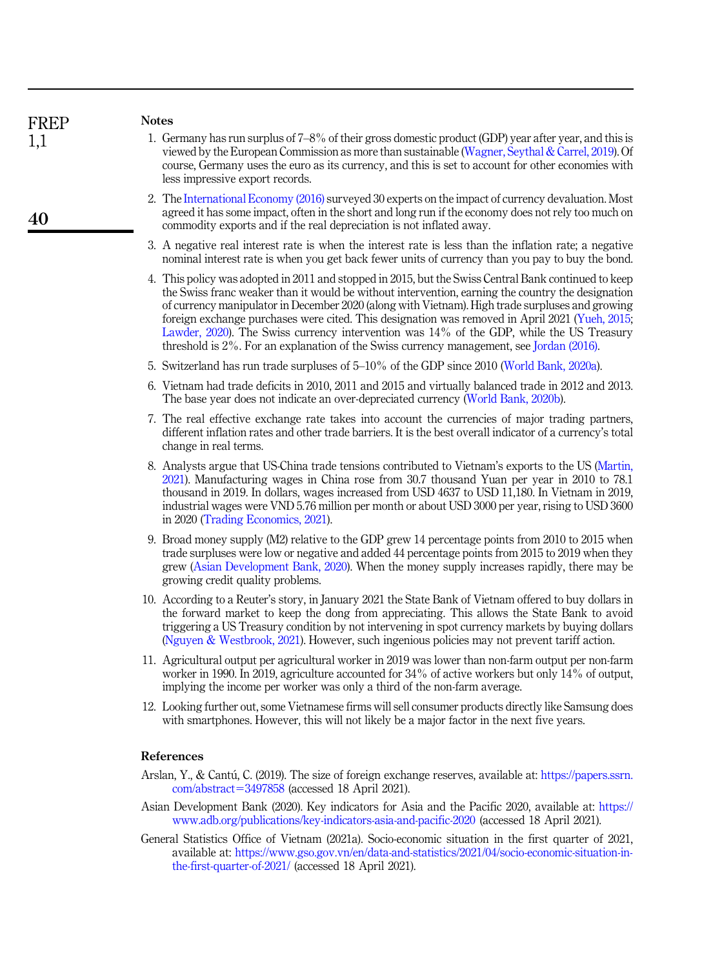<span id="page-8-8"></span><span id="page-8-7"></span><span id="page-8-6"></span><span id="page-8-5"></span><span id="page-8-4"></span><span id="page-8-3"></span><span id="page-8-2"></span><span id="page-8-1"></span>

| FREP | <b>Notes</b>                                                                                                                                                                                                                                                                                                                                                                                                                                                                                                                                                                                                 |
|------|--------------------------------------------------------------------------------------------------------------------------------------------------------------------------------------------------------------------------------------------------------------------------------------------------------------------------------------------------------------------------------------------------------------------------------------------------------------------------------------------------------------------------------------------------------------------------------------------------------------|
| 1,1  | 1. Germany has run surplus of 7–8% of their gross domestic product (GDP) year after year, and this is<br>viewed by the European Commission as more than sustainable (Wagner, Seythal & Carrel, 2019). Of<br>course, Germany uses the euro as its currency, and this is set to account for other economies with<br>less impressive export records.                                                                                                                                                                                                                                                            |
| 40   | 2. The International Economy (2016) surveyed 30 experts on the impact of currency devaluation. Most<br>agreed it has some impact, often in the short and long run if the economy does not rely too much on<br>commodity exports and if the real depreciation is not inflated away.                                                                                                                                                                                                                                                                                                                           |
|      | 3. A negative real interest rate is when the interest rate is less than the inflation rate; a negative<br>nominal interest rate is when you get back fewer units of currency than you pay to buy the bond.                                                                                                                                                                                                                                                                                                                                                                                                   |
|      | 4. This policy was adopted in 2011 and stopped in 2015, but the Swiss Central Bank continued to keep<br>the Swiss franc weaker than it would be without intervention, earning the country the designation<br>of currency manipulator in December 2020 (along with Vietnam). High trade surpluses and growing<br>foreign exchange purchases were cited. This designation was removed in April 2021 (Yueh, 2015,<br>Lawder, $2020$ ). The Swiss currency intervention was $14\%$ of the GDP, while the US Treasury<br>threshold is 2%. For an explanation of the Swiss currency management, see Jordan (2016). |
|      | 5. Switzerland has run trade surpluses of 5–10% of the GDP since 2010 (World Bank, 2020a).                                                                                                                                                                                                                                                                                                                                                                                                                                                                                                                   |
|      | 6. Vietnam had trade deficits in 2010, 2011 and 2015 and virtually balanced trade in 2012 and 2013.<br>The base year does not indicate an over-depreciated currency (World Bank, 2020b).                                                                                                                                                                                                                                                                                                                                                                                                                     |
|      | 7. The real effective exchange rate takes into account the currencies of major trading partners,<br>different inflation rates and other trade barriers. It is the best overall indicator of a currency's total<br>change in real terms.                                                                                                                                                                                                                                                                                                                                                                      |
|      | 8. Analysts argue that US-China trade tensions contributed to Vietnam's exports to the US (Martin,<br>2021). Manufacturing wages in China rose from 30.7 thousand Yuan per year in 2010 to 78.1<br>thousand in 2019. In dollars, wages increased from USD 4637 to USD 11,180. In Vietnam in 2019,<br>industrial wages were VND 5.76 million per month or about USD 3000 per year, rising to USD 3600<br>in 2020 (Trading Economics, 2021).                                                                                                                                                                   |
|      | 9. Broad money supply (M2) relative to the GDP grew 14 percentage points from 2010 to 2015 when<br>trade surpluses were low or negative and added 44 percentage points from 2015 to 2019 when they<br>grew (Asian Development Bank, 2020). When the money supply increases rapidly, there may be<br>growing credit quality problems.                                                                                                                                                                                                                                                                         |
|      | 10. According to a Reuter's story, in January 2021 the State Bank of Vietnam offered to buy dollars in<br>the forward market to keep the dong from appreciating. This allows the State Bank to avoid<br>triggering a US Treasury condition by not intervening in spot currency markets by buying dollars<br>(Nguyen & Westbrook, 2021). However, such ingenious policies may not prevent tariff action.                                                                                                                                                                                                      |
|      | 11. Agricultural output per agricultural worker in 2019 was lower than non-farm output per non-farm<br>worker in 1990. In 2019, agriculture accounted for $34\%$ of active workers but only 14% of output,<br>implying the income per worker was only a third of the non-farm average.                                                                                                                                                                                                                                                                                                                       |
|      | 12. Looking further out, some Vietnamese firms will sell consumer products directly like Samsung does<br>with smartphones. However, this will not likely be a major factor in the next five years.                                                                                                                                                                                                                                                                                                                                                                                                           |
|      | References                                                                                                                                                                                                                                                                                                                                                                                                                                                                                                                                                                                                   |
|      | Arslan, Y., & Cantú, C. (2019). The size of foreign exchange reserves, available at: https://papers.ssrn.<br>com/abstract=3497858 (accessed 18 April 2021).                                                                                                                                                                                                                                                                                                                                                                                                                                                  |
|      | Asian Development Bank (2020). Key indicators for Asia and the Pacific 2020, available at: https://<br>www.adb.org/publications/key-indicators-asia-and-pacific-2020 (accessed 18 April 2021).                                                                                                                                                                                                                                                                                                                                                                                                               |

<span id="page-8-14"></span><span id="page-8-13"></span><span id="page-8-12"></span><span id="page-8-11"></span><span id="page-8-10"></span><span id="page-8-9"></span><span id="page-8-0"></span>General Statistics Office of Vietnam (2021a). Socio-economic situation in the first quarter of 2021, available at: [https://www.gso.gov.vn/en/data-and-statistics/2021/04/socio-economic-situation-in](https://www.gso.gov.vn/en/data-and-statistics/2021/04/socio-economic-situation-in-the-first-quarter-of-2021/)[the-first-quarter-of-2021/](https://www.gso.gov.vn/en/data-and-statistics/2021/04/socio-economic-situation-in-the-first-quarter-of-2021/) (accessed 18 April 2021).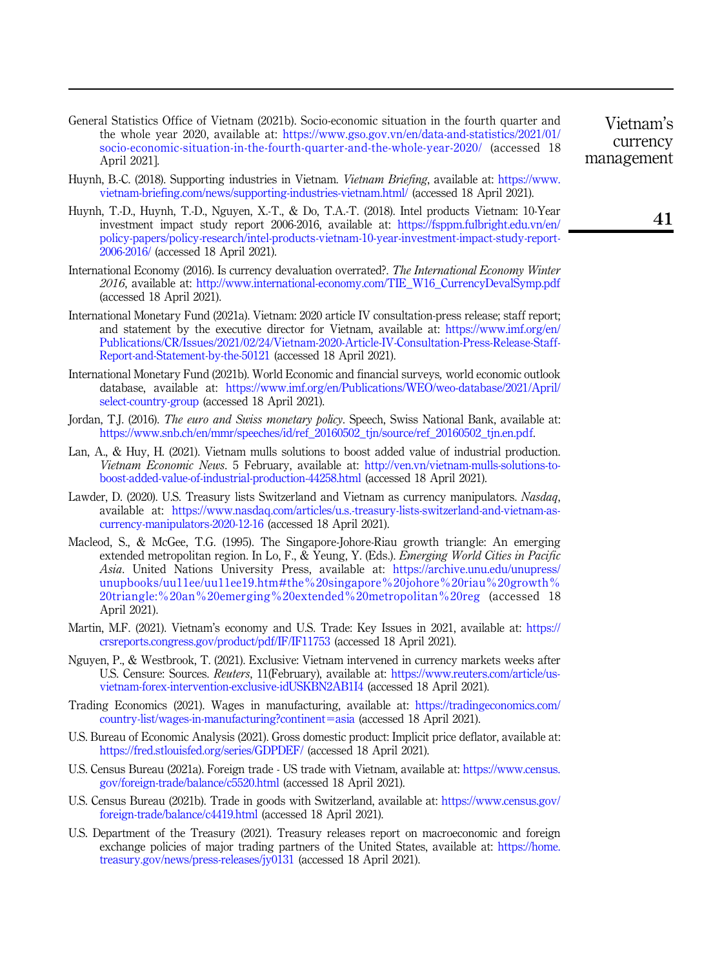- General Statistics Office of Vietnam (2021b). Socio-economic situation in the fourth quarter and the whole year 2020, available at: [https://www.gso.gov.vn/en/data-and-statistics/2021/01/](https://www.gso.gov.vn/en/data-and-statistics/2021/01/socio-economic-situation-in-the-fourth-quarter-and-the-whole-year-2020/) [socio-economic-situation-in-the-fourth-quarter-and-the-whole-year-2020/](https://www.gso.gov.vn/en/data-and-statistics/2021/01/socio-economic-situation-in-the-fourth-quarter-and-the-whole-year-2020/) (accessed 18 April 2021].
- <span id="page-9-7"></span>Huynh, B.-C. (2018). Supporting industries in Vietnam. Vietnam Briefing, available at: [https://www.](https://www.vietnam-briefing.com/news/supporting-industries-vietnam.html/) [vietnam-briefing.com/news/supporting-industries-vietnam.html/](https://www.vietnam-briefing.com/news/supporting-industries-vietnam.html/) (accessed 18 April 2021).
- <span id="page-9-6"></span>Huynh, T.-D., Huynh, T.-D., Nguyen, X.-T., & Do, T.A.-T. (2018). Intel products Vietnam: 10-Year investment impact study report 2006-2016, available at: [https://fsppm.fulbright.edu.vn/en/](https://fsppm.fulbright.edu.vn/en/policy-papers/policy-research/intel-products-vietnam-10-year-investment-impact-study-report-2006-2016/) [policy-papers/policy-research/intel-products-vietnam-10-year-investment-impact-study-report-](https://fsppm.fulbright.edu.vn/en/policy-papers/policy-research/intel-products-vietnam-10-year-investment-impact-study-report-2006-2016/)[2006-2016/](https://fsppm.fulbright.edu.vn/en/policy-papers/policy-research/intel-products-vietnam-10-year-investment-impact-study-report-2006-2016/) (accessed 18 April 2021).
- <span id="page-9-10"></span>International Economy (2016). Is currency devaluation overrated?. The International Economy Winter 2016, available at: [http://www.international-economy.com/TIE\\_W16\\_CurrencyDevalSymp.pdf](http://www.international-economy.com/TIE_W16_CurrencyDevalSymp.pdf) (accessed 18 April 2021).
- <span id="page-9-1"></span>International Monetary Fund (2021a). Vietnam: 2020 article IV consultation-press release; staff report; and statement by the executive director for Vietnam, available at: [https://www.imf.org/en/](https://www.imf.org/en/Publications/CR/Issues/2021/02/24/Vietnam-2020-Article-IV-Consultation-Press-Release-Staff-Report-and-Statement-by-the-50121) [Publications/CR/Issues/2021/02/24/Vietnam-2020-Article-IV-Consultation-Press-Release-Staff-](https://www.imf.org/en/Publications/CR/Issues/2021/02/24/Vietnam-2020-Article-IV-Consultation-Press-Release-Staff-Report-and-Statement-by-the-50121)[Report-and-Statement-by-the-50121](https://www.imf.org/en/Publications/CR/Issues/2021/02/24/Vietnam-2020-Article-IV-Consultation-Press-Release-Staff-Report-and-Statement-by-the-50121) (accessed 18 April 2021).
- <span id="page-9-2"></span>International Monetary Fund (2021b). World Economic and financial surveys, world economic outlook database, available at: [https://www.imf.org/en/Publications/WEO/weo-database/2021/April/](https://www.imf.org/en/Publications/WEO/weo-database/2021/April/select-country-group) [select-country-group](https://www.imf.org/en/Publications/WEO/weo-database/2021/April/select-country-group) (accessed 18 April 2021).
- <span id="page-9-12"></span>Jordan, T.J. (2016). The euro and Swiss monetary policy. Speech, Swiss National Bank, available at: [https://www.snb.ch/en/mmr/speeches/id/ref\\_20160502\\_tjn/source/ref\\_20160502\\_tjn.en.pdf.](https://www.snb.ch/en/mmr/speeches/id/ref_20160502_tjn/source/ref_20160502_tjn.en.pdf)
- <span id="page-9-8"></span>Lan, A., & Huy, H. (2021). Vietnam mulls solutions to boost added value of industrial production. Vietnam Economic News. 5 February, available at: [http://ven.vn/vietnam-mulls-solutions-to](http://ven.vn/vietnam-mulls-solutions-to-boost-added-value-of-industrial-production-44258.html)[boost-added-value-of-industrial-production-44258.html](http://ven.vn/vietnam-mulls-solutions-to-boost-added-value-of-industrial-production-44258.html) (accessed 18 April 2021).
- <span id="page-9-11"></span>Lawder, D. (2020). U.S. Treasury lists Switzerland and Vietnam as currency manipulators. Nasdaq, available at: [https://www.nasdaq.com/articles/u.s.-treasury-lists-switzerland-and-vietnam-as](https://www.nasdaq.com/articles/u.s.-treasury-lists-switzerland-and-vietnam-as-currency-manipulators-2020-12-16)[currency-manipulators-2020-12-16](https://www.nasdaq.com/articles/u.s.-treasury-lists-switzerland-and-vietnam-as-currency-manipulators-2020-12-16) (accessed 18 April 2021).
- <span id="page-9-9"></span>Macleod, S., & McGee, T.G. (1995). The Singapore-Johore-Riau growth triangle: An emerging extended metropolitan region. In Lo, F., & Yeung, Y. (Eds.). Emerging World Cities in Pacific Asia. United Nations University Press, available at: [https://archive.unu.edu/unupress/](https://archive.unu.edu/unupress/unupbooks/uu11ee/uu11ee19.htm#the%20singapore%20johore%20riau%20growth%20triangle:%20an%20emerging%20extended%20metropolitan%20reg) [unupbooks/uu11ee/uu11ee19.htm#the%20singapore%20johore%20riau%20growth%](https://archive.unu.edu/unupress/unupbooks/uu11ee/uu11ee19.htm#the%20singapore%20johore%20riau%20growth%20triangle:%20an%20emerging%20extended%20metropolitan%20reg) [20triangle:%20an%20emerging%20extended%20metropolitan%20reg](https://archive.unu.edu/unupress/unupbooks/uu11ee/uu11ee19.htm#the%20singapore%20johore%20riau%20growth%20triangle:%20an%20emerging%20extended%20metropolitan%20reg) (accessed 18 April 2021).
- <span id="page-9-13"></span>Martin, M.F. (2021). Vietnam's economy and U.S. Trade: Key Issues in 2021, available at: [https://](https://crsreports.congress.gov/product/pdf/IF/IF11753) [crsreports.congress.gov/product/pdf/IF/IF11753](https://crsreports.congress.gov/product/pdf/IF/IF11753) (accessed 18 April 2021).
- <span id="page-9-15"></span>Nguyen, P., & Westbrook, T. (2021). Exclusive: Vietnam intervened in currency markets weeks after U.S. Censure: Sources. Reuters, 11(February), available at: [https://www.reuters.com/article/us](https://www.reuters.com/article/us-vietnam-forex-intervention-exclusive-idUSKBN2AB1I4)[vietnam-forex-intervention-exclusive-idUSKBN2AB1I4](https://www.reuters.com/article/us-vietnam-forex-intervention-exclusive-idUSKBN2AB1I4) (accessed 18 April 2021).
- <span id="page-9-14"></span>Trading Economics (2021). Wages in manufacturing, available at: [https://tradingeconomics.com/](https://tradingeconomics.com/country-list/wages-in-manufacturing?continent=asia) [country-list/wages-in-manufacturing?continent](https://tradingeconomics.com/country-list/wages-in-manufacturing?continent=asia)=[asia](https://tradingeconomics.com/country-list/wages-in-manufacturing?continent=asia) (accessed 18 April 2021).
- <span id="page-9-3"></span>U.S. Bureau of Economic Analysis (2021). Gross domestic product: Implicit price deflator, available at: <https://fred.stlouisfed.org/series/GDPDEF/> (accessed 18 April 2021).
- <span id="page-9-4"></span>U.S. Census Bureau (2021a). Foreign trade - US trade with Vietnam, available at: [https://www.census.](https://www.census.gov/foreign-trade/balance/c5520.html) [gov/foreign-trade/balance/c5520.html](https://www.census.gov/foreign-trade/balance/c5520.html) (accessed 18 April 2021).
- <span id="page-9-0"></span>U.S. Census Bureau (2021b). Trade in goods with Switzerland, available at: [https://www.census.gov/](https://www.census.gov/foreign-trade/balance/c4419.html) [foreign-trade/balance/c4419.html](https://www.census.gov/foreign-trade/balance/c4419.html) (accessed 18 April 2021).
- <span id="page-9-5"></span>U.S. Department of the Treasury (2021). Treasury releases report on macroeconomic and foreign exchange policies of major trading partners of the United States, available at: [https://home.](https://home.treasury.gov/news/press-releases/jy0131) [treasury.gov/news/press-releases/jy0131](https://home.treasury.gov/news/press-releases/jy0131) (accessed 18 April 2021).

Vietnam's currency management

41